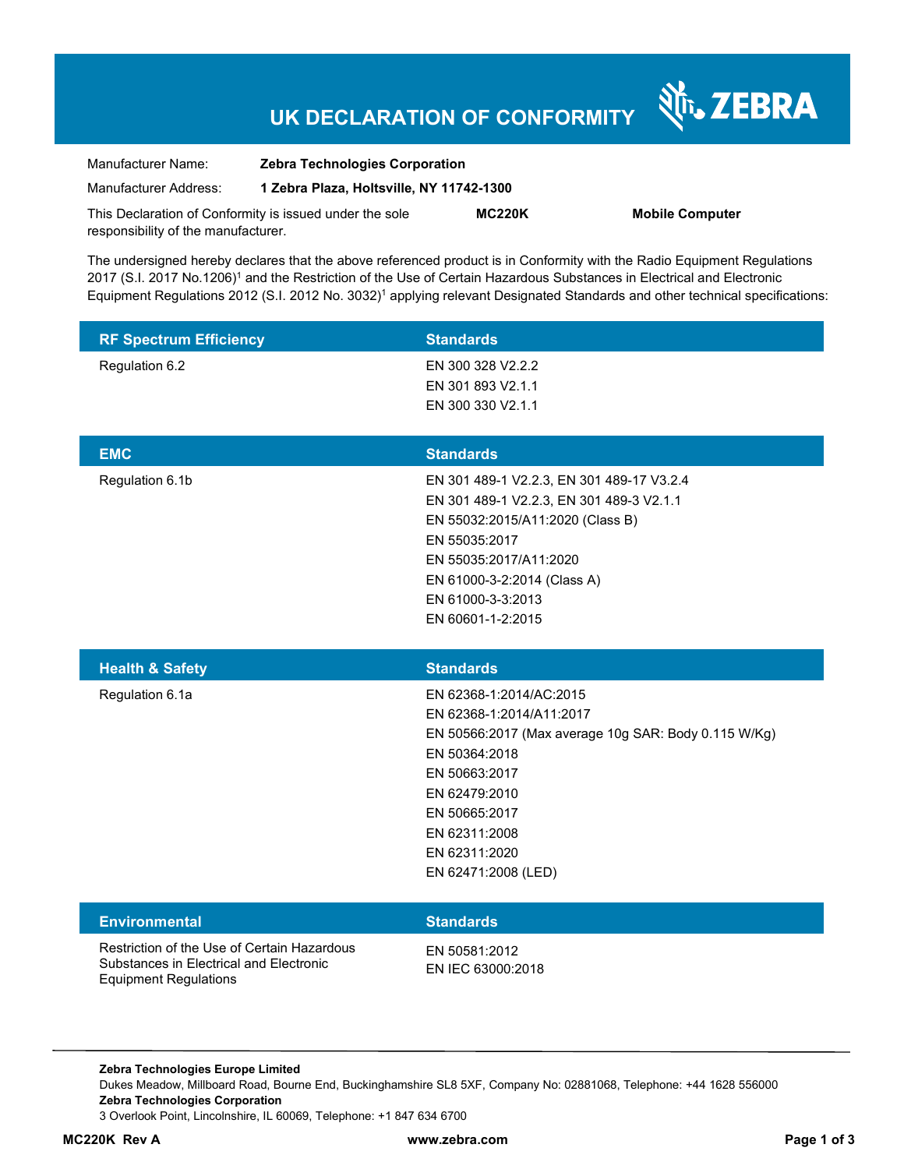# **UK DECLARATION OF CONFORMITY**

Nr. ZEBRA

| Manufacturer Name:                                      | <b>Zebra Technologies Corporation</b><br>1 Zebra Plaza, Holtsville, NY 11742-1300 |               |                        |
|---------------------------------------------------------|-----------------------------------------------------------------------------------|---------------|------------------------|
| Manufacturer Address:                                   |                                                                                   |               |                        |
| This Declaration of Conformity is issued under the sole |                                                                                   | <b>MC220K</b> | <b>Mobile Computer</b> |
| responsibility of the manufacturer.                     |                                                                                   |               |                        |

The undersigned hereby declares that the above referenced product is in Conformity with the Radio Equipment Regulations 2017 (S.I. 2017 No.1206)<sup>1</sup> and the Restriction of the Use of Certain Hazardous Substances in Electrical and Electronic Equipment Regulations 2012 (S.I. 2012 No. 3032)<sup>1</sup> applying relevant Designated Standards and other technical specifications:

| <b>RF Spectrum Efficiency</b>                                                                                          | <b>Standards</b>                                                                                                                                                                                                                              |
|------------------------------------------------------------------------------------------------------------------------|-----------------------------------------------------------------------------------------------------------------------------------------------------------------------------------------------------------------------------------------------|
| Regulation 6.2                                                                                                         | EN 300 328 V2.2.2<br>EN 301 893 V2.1.1<br>EN 300 330 V2.1.1                                                                                                                                                                                   |
| <b>EMC</b>                                                                                                             | <b>Standards</b>                                                                                                                                                                                                                              |
| Regulation 6.1b                                                                                                        | EN 301 489-1 V2.2.3, EN 301 489-17 V3.2.4<br>EN 301 489-1 V2.2.3, EN 301 489-3 V2.1.1<br>EN 55032:2015/A11:2020 (Class B)<br>EN 55035:2017<br>EN 55035:2017/A11:2020<br>EN 61000-3-2:2014 (Class A)<br>EN 61000-3-3:2013<br>EN 60601-1-2:2015 |
| <b>Health &amp; Safety</b>                                                                                             | <b>Standards</b>                                                                                                                                                                                                                              |
| Regulation 6.1a                                                                                                        | EN 62368-1:2014/AC:2015<br>EN 62368-1:2014/A11:2017<br>EN 50566:2017 (Max average 10g SAR: Body 0.115 W/Kg)<br>EN 50364:2018<br>EN 50663:2017<br>EN 62479:2010<br>EN 50665:2017<br>EN 62311:2008<br>EN 62311:2020<br>EN 62471:2008 (LED)      |
| <b>Environmental</b>                                                                                                   | <b>Standards</b>                                                                                                                                                                                                                              |
| Restriction of the Use of Certain Hazardous<br>Substances in Electrical and Electronic<br><b>Equipment Regulations</b> | EN 50581:2012<br>EN IEC 63000:2018                                                                                                                                                                                                            |

**Zebra Technologies Europe Limited**  Dukes Meadow, Millboard Road, Bourne End, Buckinghamshire SL8 5XF, Company No: 02881068, Telephone: +44 1628 556000 **Zebra Technologies Corporation**  3 Overlook Point, Lincolnshire, IL 60069, Telephone: +1 847 634 6700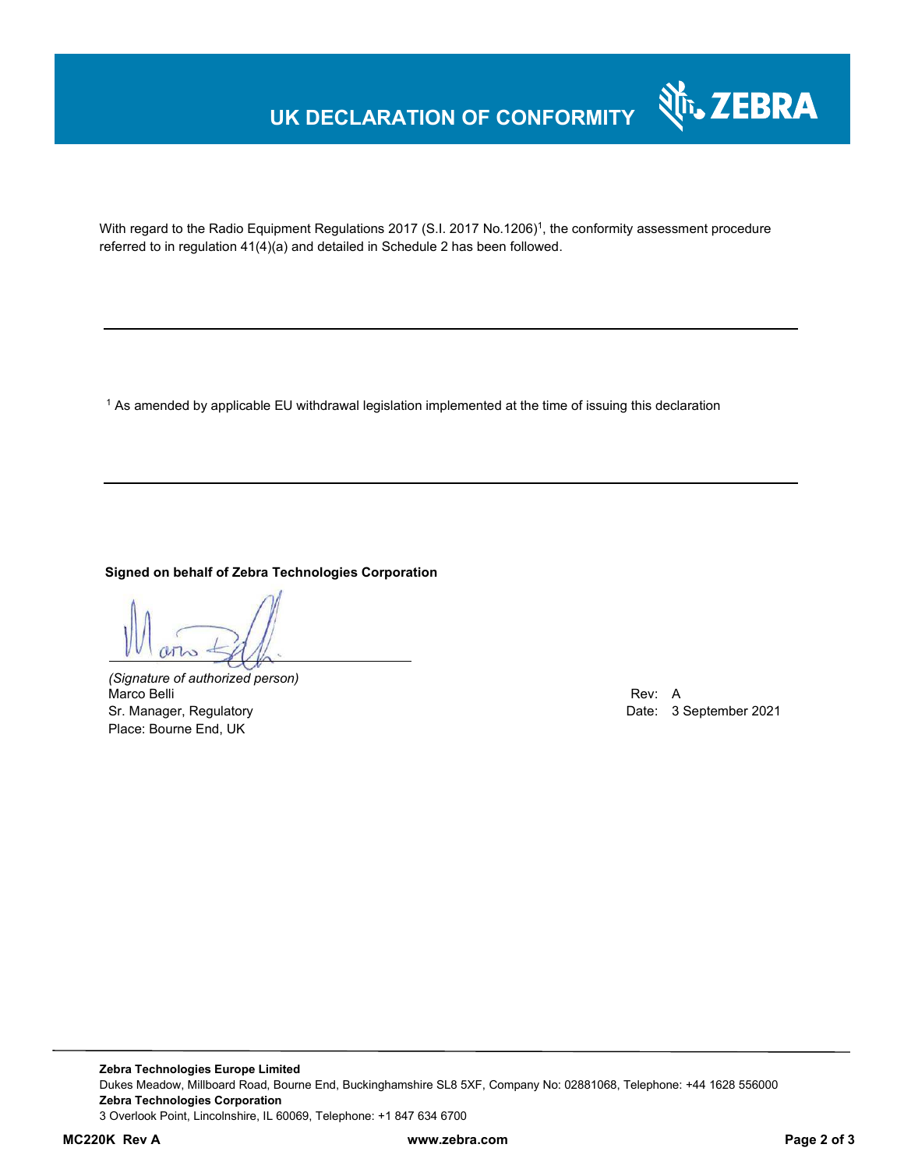## **UK DECLARATION OF CONFORMITY**



With regard to the Radio Equipment Regulations 2017 (S.I. 2017 No.1206)<sup>1</sup>, the conformity assessment procedure referred to in regulation 41(4)(a) and detailed in Schedule 2 has been followed.

 $^{\rm 1}$  As amended by applicable EU withdrawal legislation implemented at the time of issuing this declaration

**Signed on behalf of Zebra Technologies Corporation** 

*(Signature of authorized person)* Marco Belli Rev: A Annual Rev: A Annual Rev: A Annual Rev: A Annual Rev: A Annual Rev: A Annual Rev: A Annual Rev Sr. Manager, Regulatory **Date: 3 September 2021** Place: Bourne End, UK